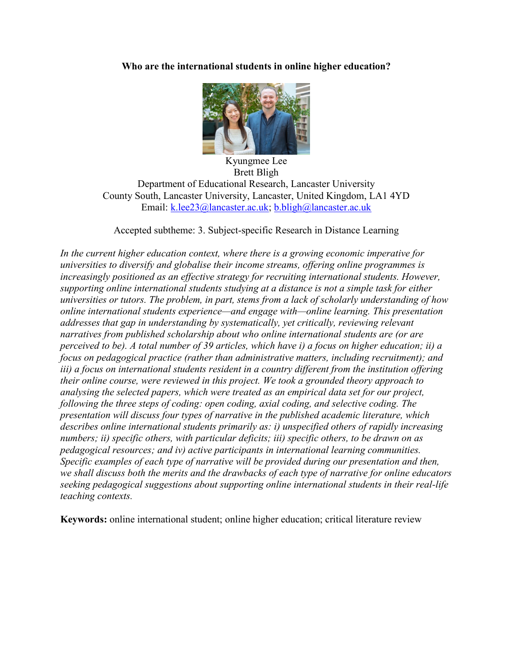# **Who are the international students in online higher education?**



Kyungmee Lee Brett Bligh Department of Educational Research, Lancaster University County South, Lancaster University, Lancaster, United Kingdom, LA1 4YD Email: [k.lee23@lancaster.ac.uk;](mailto:k.lee23@lancaster.ac.uk) [b.bligh@lancaster.ac.uk](mailto:b.bligh@lancaster.ac.uk)

Accepted subtheme: 3. Subject-specific Research in Distance Learning

*In the current higher education context, where there is a growing economic imperative for universities to diversify and globalise their income streams, offering online programmes is increasingly positioned as an effective strategy for recruiting international students. However, supporting online international students studying at a distance is not a simple task for either universities or tutors. The problem, in part, stems from a lack of scholarly understanding of how online international students experience—and engage with—online learning. This presentation addresses that gap in understanding by systematically, yet critically, reviewing relevant narratives from published scholarship about who online international students are (or are perceived to be). A total number of 39 articles, which have i) a focus on higher education; ii) a focus on pedagogical practice (rather than administrative matters, including recruitment); and iii) a focus on international students resident in a country different from the institution offering their online course, were reviewed in this project. We took a grounded theory approach to analysing the selected papers, which were treated as an empirical data set for our project, following the three steps of coding: open coding, axial coding, and selective coding. The presentation will discuss four types of narrative in the published academic literature, which describes online international students primarily as: i) unspecified others of rapidly increasing numbers; ii) specific others, with particular deficits; iii) specific others, to be drawn on as pedagogical resources; and iv) active participants in international learning communities. Specific examples of each type of narrative will be provided during our presentation and then, we shall discuss both the merits and the drawbacks of each type of narrative for online educators seeking pedagogical suggestions about supporting online international students in their real-life teaching contexts.*

**Keywords:** online international student; online higher education; critical literature review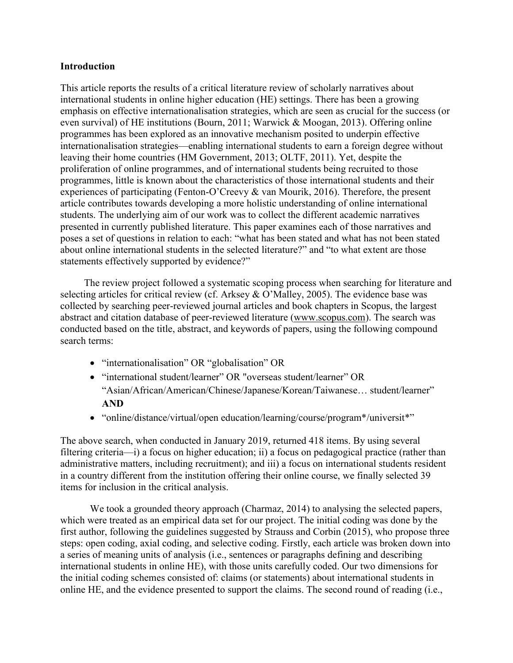## **Introduction**

This article reports the results of a critical literature review of scholarly narratives about international students in online higher education (HE) settings. There has been a growing emphasis on effective internationalisation strategies, which are seen as crucial for the success (or even survival) of HE institutions (Bourn, 2011; Warwick & Moogan, 2013). Offering online programmes has been explored as an innovative mechanism posited to underpin effective internationalisation strategies—enabling international students to earn a foreign degree without leaving their home countries (HM Government, 2013; OLTF, 2011). Yet, despite the proliferation of online programmes, and of international students being recruited to those programmes, little is known about the characteristics of those international students and their experiences of participating (Fenton-O'Creevy & van Mourik, 2016). Therefore, the present article contributes towards developing a more holistic understanding of online international students. The underlying aim of our work was to collect the different academic narratives presented in currently published literature. This paper examines each of those narratives and poses a set of questions in relation to each: "what has been stated and what has not been stated about online international students in the selected literature?" and "to what extent are those statements effectively supported by evidence?"

The review project followed a systematic scoping process when searching for literature and selecting articles for critical review (cf. Arksey & O'Malley, 2005). The evidence base was collected by searching peer-reviewed journal articles and book chapters in Scopus, the largest abstract and citation database of peer-reviewed literature [\(www.scopus.com\)](http://www.scopus.com/). The search was conducted based on the title, abstract, and keywords of papers, using the following compound search terms:

- "internationalisation" OR "globalisation" OR
- "international student/learner" OR "overseas student/learner" OR "Asian/African/American/Chinese/Japanese/Korean/Taiwanese… student/learner" **AND**
- "online/distance/virtual/open education/learning/course/program\*/universit\*"

The above search, when conducted in January 2019, returned 418 items. By using several filtering criteria—i) a focus on higher education; ii) a focus on pedagogical practice (rather than administrative matters, including recruitment); and iii) a focus on international students resident in a country different from the institution offering their online course, we finally selected 39 items for inclusion in the critical analysis.

We took a grounded theory approach (Charmaz, 2014) to analysing the selected papers, which were treated as an empirical data set for our project. The initial coding was done by the first author, following the guidelines suggested by Strauss and Corbin (2015), who propose three steps: open coding, axial coding, and selective coding. Firstly, each article was broken down into a series of meaning units of analysis (i.e., sentences or paragraphs defining and describing international students in online HE), with those units carefully coded. Our two dimensions for the initial coding schemes consisted of: claims (or statements) about international students in online HE, and the evidence presented to support the claims. The second round of reading (i.e.,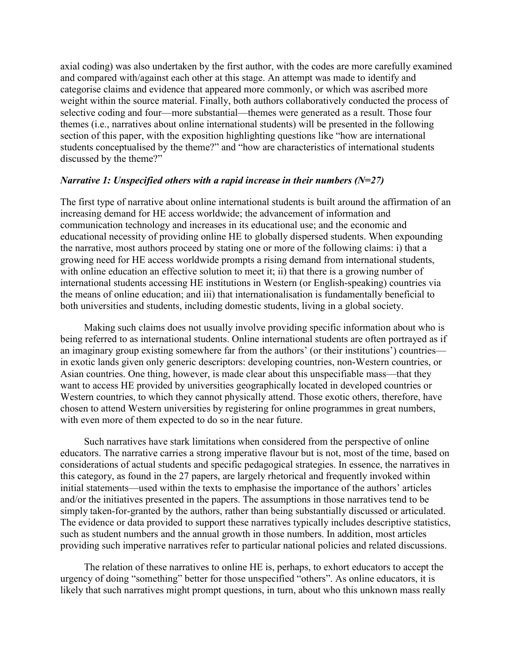axial coding) was also undertaken by the first author, with the codes are more carefully examined and compared with/against each other at this stage. An attempt was made to identify and categorise claims and evidence that appeared more commonly, or which was ascribed more weight within the source material. Finally, both authors collaboratively conducted the process of selective coding and four—more substantial—themes were generated as a result. Those four themes (i.e., narratives about online international students) will be presented in the following section of this paper, with the exposition highlighting questions like "how are international students conceptualised by the theme?" and "how are characteristics of international students discussed by the theme?"

## *Narrative 1: Unspecified others with a rapid increase in their numbers (N=27)*

The first type of narrative about online international students is built around the affirmation of an increasing demand for HE access worldwide; the advancement of information and communication technology and increases in its educational use; and the economic and educational necessity of providing online HE to globally dispersed students. When expounding the narrative, most authors proceed by stating one or more of the following claims: i) that a growing need for HE access worldwide prompts a rising demand from international students, with online education an effective solution to meet it; ii) that there is a growing number of international students accessing HE institutions in Western (or English-speaking) countries via the means of online education; and iii) that internationalisation is fundamentally beneficial to both universities and students, including domestic students, living in a global society.

Making such claims does not usually involve providing specific information about who is being referred to as international students. Online international students are often portrayed as if an imaginary group existing somewhere far from the authors' (or their institutions') countries in exotic lands given only generic descriptors: developing countries, non-Western countries, or Asian countries. One thing, however, is made clear about this unspecifiable mass—that they want to access HE provided by universities geographically located in developed countries or Western countries, to which they cannot physically attend. Those exotic others, therefore, have chosen to attend Western universities by registering for online programmes in great numbers, with even more of them expected to do so in the near future.

Such narratives have stark limitations when considered from the perspective of online educators. The narrative carries a strong imperative flavour but is not, most of the time, based on considerations of actual students and specific pedagogical strategies. In essence, the narratives in this category, as found in the 27 papers, are largely rhetorical and frequently invoked within initial statements—used within the texts to emphasise the importance of the authors' articles and/or the initiatives presented in the papers. The assumptions in those narratives tend to be simply taken-for-granted by the authors, rather than being substantially discussed or articulated. The evidence or data provided to support these narratives typically includes descriptive statistics, such as student numbers and the annual growth in those numbers. In addition, most articles providing such imperative narratives refer to particular national policies and related discussions.

The relation of these narratives to online HE is, perhaps, to exhort educators to accept the urgency of doing "something" better for those unspecified "others". As online educators, it is likely that such narratives might prompt questions, in turn, about who this unknown mass really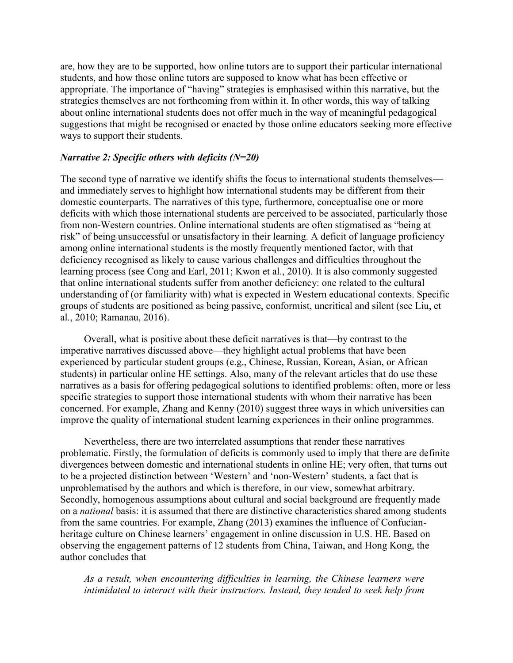are, how they are to be supported, how online tutors are to support their particular international students, and how those online tutors are supposed to know what has been effective or appropriate. The importance of "having" strategies is emphasised within this narrative, but the strategies themselves are not forthcoming from within it. In other words, this way of talking about online international students does not offer much in the way of meaningful pedagogical suggestions that might be recognised or enacted by those online educators seeking more effective ways to support their students.

#### *Narrative 2: Specific others with deficits (N=20)*

The second type of narrative we identify shifts the focus to international students themselves and immediately serves to highlight how international students may be different from their domestic counterparts. The narratives of this type, furthermore, conceptualise one or more deficits with which those international students are perceived to be associated, particularly those from non-Western countries. Online international students are often stigmatised as "being at risk" of being unsuccessful or unsatisfactory in their learning. A deficit of language proficiency among online international students is the mostly frequently mentioned factor, with that deficiency recognised as likely to cause various challenges and difficulties throughout the learning process (see Cong and Earl, 2011; Kwon et al., 2010). It is also commonly suggested that online international students suffer from another deficiency: one related to the cultural understanding of (or familiarity with) what is expected in Western educational contexts. Specific groups of students are positioned as being passive, conformist, uncritical and silent (see Liu, et al., 2010; Ramanau, 2016).

Overall, what is positive about these deficit narratives is that—by contrast to the imperative narratives discussed above—they highlight actual problems that have been experienced by particular student groups (e.g., Chinese, Russian, Korean, Asian, or African students) in particular online HE settings. Also, many of the relevant articles that do use these narratives as a basis for offering pedagogical solutions to identified problems: often, more or less specific strategies to support those international students with whom their narrative has been concerned. For example, Zhang and Kenny (2010) suggest three ways in which universities can improve the quality of international student learning experiences in their online programmes.

Nevertheless, there are two interrelated assumptions that render these narratives problematic. Firstly, the formulation of deficits is commonly used to imply that there are definite divergences between domestic and international students in online HE; very often, that turns out to be a projected distinction between 'Western' and 'non-Western' students, a fact that is unproblematised by the authors and which is therefore, in our view, somewhat arbitrary. Secondly, homogenous assumptions about cultural and social background are frequently made on a *national* basis: it is assumed that there are distinctive characteristics shared among students from the same countries. For example, Zhang (2013) examines the influence of Confucianheritage culture on Chinese learners' engagement in online discussion in U.S. HE. Based on observing the engagement patterns of 12 students from China, Taiwan, and Hong Kong, the author concludes that

*As a result, when encountering difficulties in learning, the Chinese learners were intimidated to interact with their instructors. Instead, they tended to seek help from*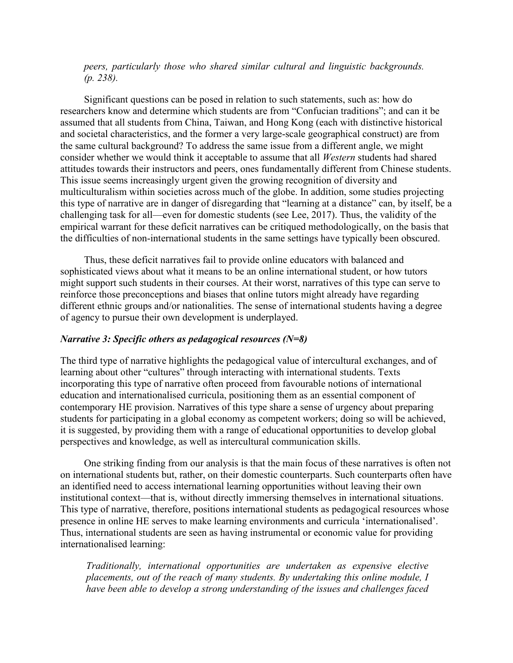*peers, particularly those who shared similar cultural and linguistic backgrounds. (p. 238).* 

Significant questions can be posed in relation to such statements, such as: how do researchers know and determine which students are from "Confucian traditions"; and can it be assumed that all students from China, Taiwan, and Hong Kong (each with distinctive historical and societal characteristics, and the former a very large-scale geographical construct) are from the same cultural background? To address the same issue from a different angle, we might consider whether we would think it acceptable to assume that all *Western* students had shared attitudes towards their instructors and peers, ones fundamentally different from Chinese students. This issue seems increasingly urgent given the growing recognition of diversity and multiculturalism within societies across much of the globe. In addition, some studies projecting this type of narrative are in danger of disregarding that "learning at a distance" can, by itself, be a challenging task for all—even for domestic students (see Lee, 2017). Thus, the validity of the empirical warrant for these deficit narratives can be critiqued methodologically, on the basis that the difficulties of non-international students in the same settings have typically been obscured.

Thus, these deficit narratives fail to provide online educators with balanced and sophisticated views about what it means to be an online international student, or how tutors might support such students in their courses. At their worst, narratives of this type can serve to reinforce those preconceptions and biases that online tutors might already have regarding different ethnic groups and/or nationalities. The sense of international students having a degree of agency to pursue their own development is underplayed.

#### *Narrative 3: Specific others as pedagogical resources (N=8)*

The third type of narrative highlights the pedagogical value of intercultural exchanges, and of learning about other "cultures" through interacting with international students. Texts incorporating this type of narrative often proceed from favourable notions of international education and internationalised curricula, positioning them as an essential component of contemporary HE provision. Narratives of this type share a sense of urgency about preparing students for participating in a global economy as competent workers; doing so will be achieved, it is suggested, by providing them with a range of educational opportunities to develop global perspectives and knowledge, as well as intercultural communication skills.

One striking finding from our analysis is that the main focus of these narratives is often not on international students but, rather, on their domestic counterparts. Such counterparts often have an identified need to access international learning opportunities without leaving their own institutional context—that is, without directly immersing themselves in international situations. This type of narrative, therefore, positions international students as pedagogical resources whose presence in online HE serves to make learning environments and curricula 'internationalised'. Thus, international students are seen as having instrumental or economic value for providing internationalised learning:

*Traditionally, international opportunities are undertaken as expensive elective placements, out of the reach of many students. By undertaking this online module, I have been able to develop a strong understanding of the issues and challenges faced*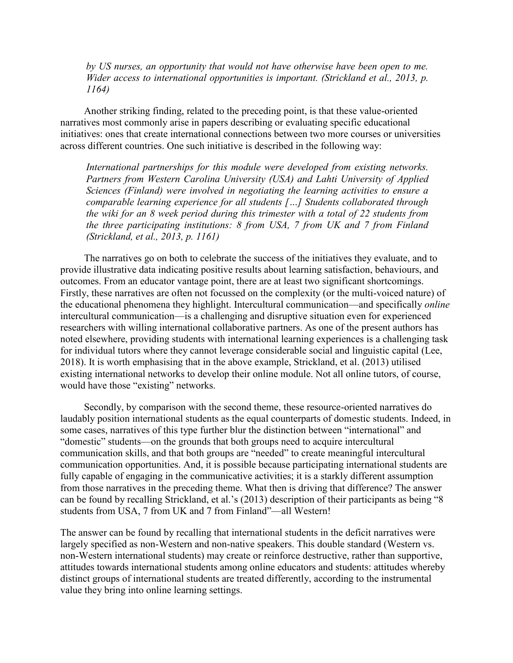*by US nurses, an opportunity that would not have otherwise have been open to me. Wider access to international opportunities is important. (Strickland et al., 2013, p. 1164)*

Another striking finding, related to the preceding point, is that these value-oriented narratives most commonly arise in papers describing or evaluating specific educational initiatives: ones that create international connections between two more courses or universities across different countries. One such initiative is described in the following way:

*International partnerships for this module were developed from existing networks. Partners from Western Carolina University (USA) and Lahti University of Applied Sciences (Finland) were involved in negotiating the learning activities to ensure a comparable learning experience for all students […] Students collaborated through the wiki for an 8 week period during this trimester with a total of 22 students from the three participating institutions: 8 from USA, 7 from UK and 7 from Finland (Strickland, et al., 2013, p. 1161)*

The narratives go on both to celebrate the success of the initiatives they evaluate, and to provide illustrative data indicating positive results about learning satisfaction, behaviours, and outcomes. From an educator vantage point, there are at least two significant shortcomings. Firstly, these narratives are often not focussed on the complexity (or the multi-voiced nature) of the educational phenomena they highlight. Intercultural communication—and specifically *online* intercultural communication—is a challenging and disruptive situation even for experienced researchers with willing international collaborative partners. As one of the present authors has noted elsewhere, providing students with international learning experiences is a challenging task for individual tutors where they cannot leverage considerable social and linguistic capital (Lee, 2018). It is worth emphasising that in the above example, Strickland, et al. (2013) utilised existing international networks to develop their online module. Not all online tutors, of course, would have those "existing" networks.

Secondly, by comparison with the second theme, these resource-oriented narratives do laudably position international students as the equal counterparts of domestic students. Indeed, in some cases, narratives of this type further blur the distinction between "international" and "domestic" students—on the grounds that both groups need to acquire intercultural communication skills, and that both groups are "needed" to create meaningful intercultural communication opportunities. And, it is possible because participating international students are fully capable of engaging in the communicative activities; it is a starkly different assumption from those narratives in the preceding theme. What then is driving that difference? The answer can be found by recalling Strickland, et al.'s (2013) description of their participants as being "8 students from USA, 7 from UK and 7 from Finland"—all Western!

The answer can be found by recalling that international students in the deficit narratives were largely specified as non-Western and non-native speakers. This double standard (Western vs. non-Western international students) may create or reinforce destructive, rather than supportive, attitudes towards international students among online educators and students: attitudes whereby distinct groups of international students are treated differently, according to the instrumental value they bring into online learning settings.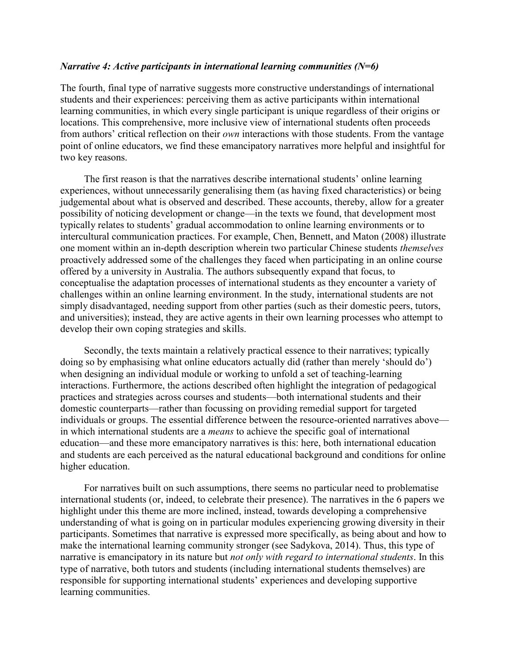### *Narrative 4: Active participants in international learning communities (N=6)*

The fourth, final type of narrative suggests more constructive understandings of international students and their experiences: perceiving them as active participants within international learning communities, in which every single participant is unique regardless of their origins or locations. This comprehensive, more inclusive view of international students often proceeds from authors' critical reflection on their *own* interactions with those students. From the vantage point of online educators, we find these emancipatory narratives more helpful and insightful for two key reasons.

The first reason is that the narratives describe international students' online learning experiences, without unnecessarily generalising them (as having fixed characteristics) or being judgemental about what is observed and described. These accounts, thereby, allow for a greater possibility of noticing development or change—in the texts we found, that development most typically relates to students' gradual accommodation to online learning environments or to intercultural communication practices. For example, Chen, Bennett, and Maton (2008) illustrate one moment within an in-depth description wherein two particular Chinese students *themselves* proactively addressed some of the challenges they faced when participating in an online course offered by a university in Australia. The authors subsequently expand that focus, to conceptualise the adaptation processes of international students as they encounter a variety of challenges within an online learning environment. In the study, international students are not simply disadvantaged, needing support from other parties (such as their domestic peers, tutors, and universities); instead, they are active agents in their own learning processes who attempt to develop their own coping strategies and skills.

Secondly, the texts maintain a relatively practical essence to their narratives; typically doing so by emphasising what online educators actually did (rather than merely 'should do') when designing an individual module or working to unfold a set of teaching-learning interactions. Furthermore, the actions described often highlight the integration of pedagogical practices and strategies across courses and students—both international students and their domestic counterparts—rather than focussing on providing remedial support for targeted individuals or groups. The essential difference between the resource-oriented narratives above in which international students are a *means* to achieve the specific goal of international education—and these more emancipatory narratives is this: here, both international education and students are each perceived as the natural educational background and conditions for online higher education.

For narratives built on such assumptions, there seems no particular need to problematise international students (or, indeed, to celebrate their presence). The narratives in the 6 papers we highlight under this theme are more inclined, instead, towards developing a comprehensive understanding of what is going on in particular modules experiencing growing diversity in their participants. Sometimes that narrative is expressed more specifically, as being about and how to make the international learning community stronger (see Sadykova, 2014). Thus, this type of narrative is emancipatory in its nature but *not only with regard to international students*. In this type of narrative, both tutors and students (including international students themselves) are responsible for supporting international students' experiences and developing supportive learning communities.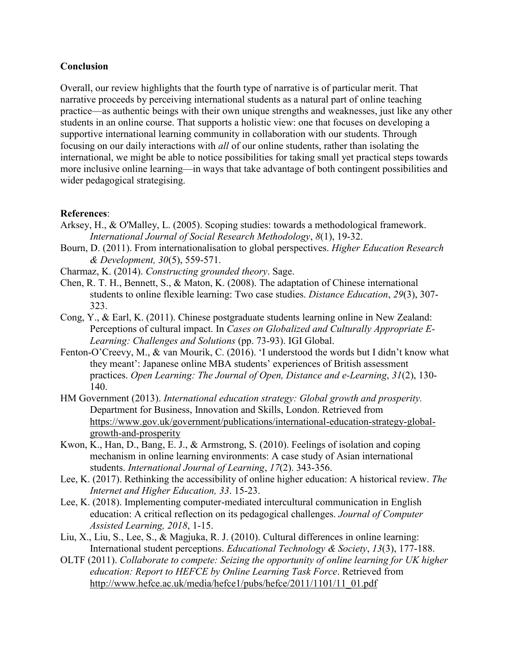### **Conclusion**

Overall, our review highlights that the fourth type of narrative is of particular merit. That narrative proceeds by perceiving international students as a natural part of online teaching practice—as authentic beings with their own unique strengths and weaknesses, just like any other students in an online course. That supports a holistic view: one that focuses on developing a supportive international learning community in collaboration with our students. Through focusing on our daily interactions with *all* of our online students, rather than isolating the international, we might be able to notice possibilities for taking small yet practical steps towards more inclusive online learning—in ways that take advantage of both contingent possibilities and wider pedagogical strategising.

### **References**:

- Arksey, H., & O'Malley, L. (2005). Scoping studies: towards a methodological framework. *International Journal of Social Research Methodology*, *8*(1), 19-32.
- Bourn, D. (2011). From internationalisation to global perspectives. *Higher Education Research & Development, 30*(5), 559-571.
- Charmaz, K. (2014). *Constructing grounded theory*. Sage.
- Chen, R. T. H., Bennett, S., & Maton, K. (2008). The adaptation of Chinese international students to online flexible learning: Two case studies. *Distance Education*, *29*(3), 307- 323.
- Cong, Y., & Earl, K. (2011). Chinese postgraduate students learning online in New Zealand: Perceptions of cultural impact. In *Cases on Globalized and Culturally Appropriate E-Learning: Challenges and Solutions* (pp. 73-93). IGI Global.
- Fenton-O'Creevy, M., & van Mourik, C. (2016). 'I understood the words but I didn't know what they meant': Japanese online MBA students' experiences of British assessment practices. *Open Learning: The Journal of Open, Distance and e-Learning*, *31*(2), 130- 140.
- HM Government (2013). *International education strategy: Global growth and prosperity.*  Department for Business, Innovation and Skills, London. Retrieved from [https://www.gov.uk/government/publications/international-education-strategy-global](https://www.gov.uk/government/publications/international-education-strategy-global-growth-and-prosperity)[growth-and-prosperity](https://www.gov.uk/government/publications/international-education-strategy-global-growth-and-prosperity)
- Kwon, K., Han, D., Bang, E. J., & Armstrong, S. (2010). Feelings of isolation and coping mechanism in online learning environments: A case study of Asian international students. *International Journal of Learning*, *17*(2). 343-356.
- Lee, K. (2017). Rethinking the accessibility of online higher education: A historical review. *The Internet and Higher Education, 33*. 15-23.
- Lee, K. (2018). Implementing computer-mediated intercultural communication in English education: A critical reflection on its pedagogical challenges. *Journal of Computer Assisted Learning, 2018*, 1-15.
- Liu, X., Liu, S., Lee, S., & Magjuka, R. J. (2010). Cultural differences in online learning: International student perceptions. *Educational Technology & Society*, *13*(3), 177-188.
- OLTF (2011). *Collaborate to compete: Seizing the opportunity of online learning for UK higher education: Report to HEFCE by Online Learning Task Force*. Retrieved from [http://www.hefce.ac.uk/media/hefce1/pubs/hefce/2011/1101/11\\_01.pdf](http://www.hefce.ac.uk/media/hefce1/pubs/hefce/2011/1101/11_01.pdf)